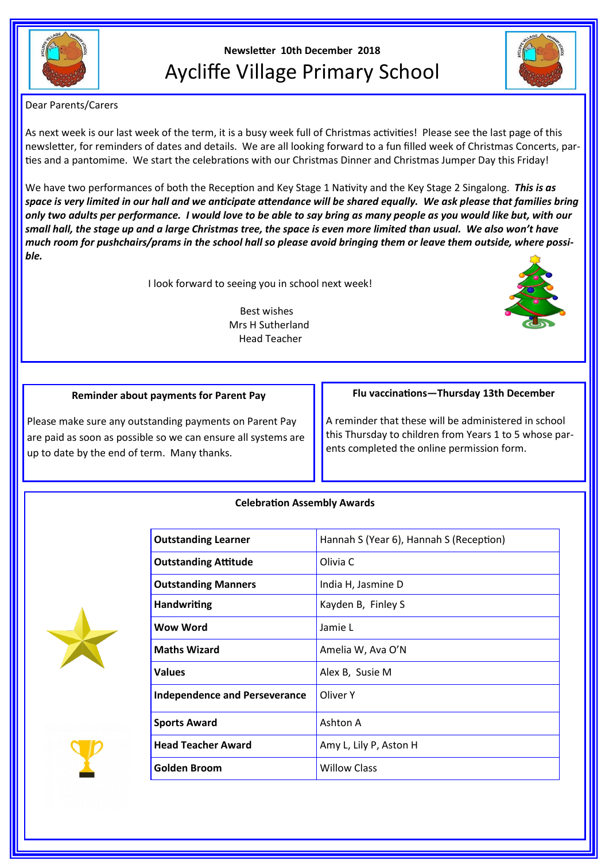

# **Newsletter 10th December 2018** Aycliffe Village Primary School



Dear Parents/Carers

As next week is our last week of the term, it is a busy week full of Christmas activities! Please see the last page of this newsletter, for reminders of dates and details. We are all looking forward to a fun filled week of Christmas Concerts, parties and a pantomime. We start the celebrations with our Christmas Dinner and Christmas Jumper Day this Friday!

We have two performances of both the Reception and Key Stage 1 Nativity and the Key Stage 2 Singalong. *This is as space is very limited in our hall and we anticipate attendance will be shared equally. We ask please that families bring only two adults per performance. I would love to be able to say bring as many people as you would like but, with our small hall, the stage up and a large Christmas tree, the space is even more limited than usual. We also won't have much room for pushchairs/prams in the school hall so please avoid bringing them or leave them outside, where possible.*

I look forward to seeing you in school next week!

 Best wishes Mrs H Sutherland Head Teacher



# **Reminder about payments for Parent Pay**

Please make sure any outstanding payments on Parent Pay are paid as soon as possible so we can ensure all systems are up to date by the end of term. Many thanks.

# **Flu vaccinations—Thursday 13th December**

A reminder that these will be administered in school this Thursday to children from Years 1 to 5 whose parents completed the online permission form.

## **Celebration Assembly Awards**

| <b>Outstanding Learner</b>           | Hannah S (Year 6), Hannah S (Reception) |
|--------------------------------------|-----------------------------------------|
| <b>Outstanding Attitude</b>          | Olivia C                                |
| <b>Outstanding Manners</b>           | India H, Jasmine D                      |
| <b>Handwriting</b>                   | Kayden B, Finley S                      |
| <b>Wow Word</b>                      | Jamie L                                 |
| <b>Maths Wizard</b>                  | Amelia W, Ava O'N                       |
| <b>Values</b>                        | Alex B, Susie M                         |
| <b>Independence and Perseverance</b> | Oliver Y                                |
| <b>Sports Award</b>                  | Ashton A                                |
| <b>Head Teacher Award</b>            | Amy L, Lily P, Aston H                  |
| Golden Broom                         | <b>Willow Class</b>                     |



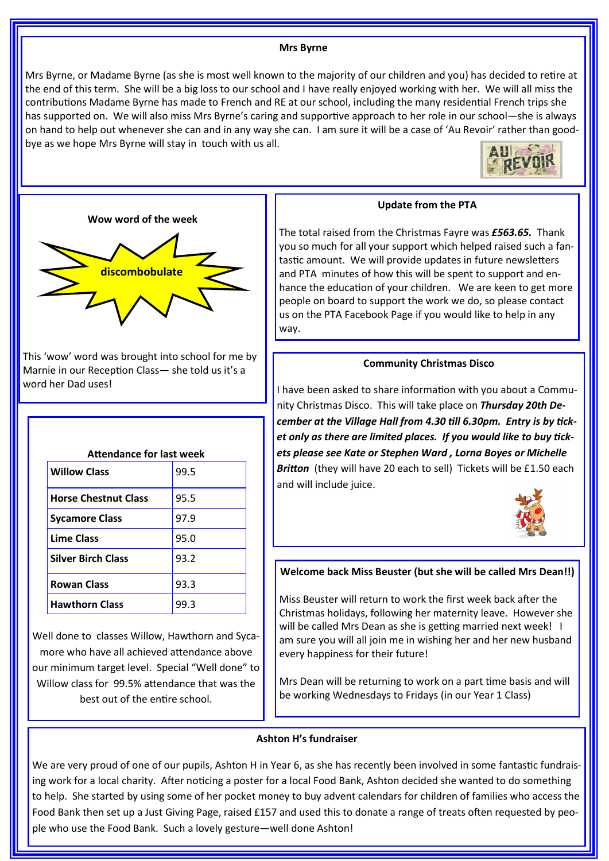#### **Mrs Byrne**

Mrs Byrne, or Madame Byrne (as she is most well known to the majority of our children and you) has decided to retire at the end of this term. She will be a big loss to our school and I have really enjoyed working with her. We will all miss the contributions Madame Byrne has made to French and RE at our school, including the many residential French trips she has supported on. We will also miss Mrs Byrne's caring and supportive approach to her role in our school—she is always on hand to help out whenever she can and in any way she can. I am sure it will be a case of 'Au Revoir' rather than goodbye as we hope Mrs Byrne will stay in touch with us all.







This 'wow' word was brought into school for me by Marnie in our Reception Class— she told us it's a word her Dad uses!

| <b>Attendance for last week</b> |      |  |
|---------------------------------|------|--|
| <b>Willow Class</b>             | 99.5 |  |
| <b>Horse Chestnut Class</b>     | 95.5 |  |
| <b>Sycamore Class</b>           | 97.9 |  |
| <b>Lime Class</b>               | 95.0 |  |
| <b>Silver Birch Class</b>       | 93.2 |  |
| <b>Rowan Class</b>              | 93.3 |  |
| <b>Hawthorn Class</b>           | 99.3 |  |

Well done to classes Willow, Hawthorn and Sycamore who have all achieved attendance above our minimum target level. Special "Well done" to Willow class for 99.5% attendance that was the best out of the entire school.

#### **Update from the PTA**

The total raised from the Christmas Fayre was *£563.65.* Thank you so much for all your support which helped raised such a fantastic amount. We will provide updates in future newsletters and PTA minutes of how this will be spent to support and enhance the education of your children. We are keen to get more people on board to support the work we do, so please contact us on the PTA Facebook Page if you would like to help in any way.

#### **Community Christmas Disco**

I have been asked to share information with you about a Community Christmas Disco. This will take place on *Thursday 20th December at the Village Hall from 4.30 till 6.30pm. Entry is by ticket only as there are limited places. If you would like to buy tickets please see Kate or Stephen Ward , Lorna Boyes or Michelle*  **Britton** (they will have 20 each to sell) Tickets will be £1.50 each and will include juice.



#### **Welcome back Miss Beuster (but she will be called Mrs Dean!!)**

Miss Beuster will return to work the first week back after the Christmas holidays, following her maternity leave. However she will be called Mrs Dean as she is getting married next week! I am sure you will all join me in wishing her and her new husband every happiness for their future!

Mrs Dean will be returning to work on a part time basis and will be working Wednesdays to Fridays (in our Year 1 Class)

### **Ashton H's fundraiser**

We are very proud of one of our pupils, Ashton H in Year 6, as she has recently been involved in some fantastic fundraising work for a local charity. After noticing a poster for a local Food Bank, Ashton decided she wanted to do something to help. She started by using some of her pocket money to buy advent calendars for children of families who access the Food Bank then set up a Just Giving Page, raised £157 and used this to donate a range of treats often requested by people who use the Food Bank. Such a lovely gesture—well done Ashton!